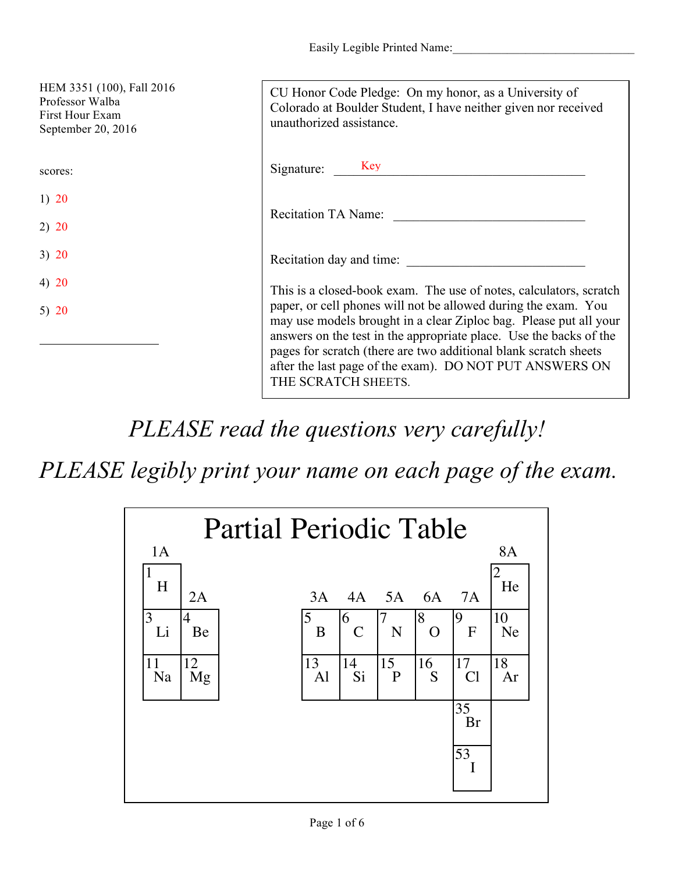Easily Legible Printed Name:

| HEM 3351 (100), Fall 2016<br>Professor Walba<br>First Hour Exam<br>September 20, 2016 | CU Honor Code Pledge: On my honor, as a University of<br>Colorado at Boulder Student, I have neither given nor received<br>unauthorized assistance.                                                                                                                                                                                                             |
|---------------------------------------------------------------------------------------|-----------------------------------------------------------------------------------------------------------------------------------------------------------------------------------------------------------------------------------------------------------------------------------------------------------------------------------------------------------------|
| scores:                                                                               | Signature: Key                                                                                                                                                                                                                                                                                                                                                  |
| 1) $20$                                                                               |                                                                                                                                                                                                                                                                                                                                                                 |
| 2) 20                                                                                 | <b>Recitation TA Name:</b>                                                                                                                                                                                                                                                                                                                                      |
| 3) 20                                                                                 | Recitation day and time:                                                                                                                                                                                                                                                                                                                                        |
| 4) 20                                                                                 | This is a closed-book exam. The use of notes, calculators, scratch                                                                                                                                                                                                                                                                                              |
| 5) $20$                                                                               | paper, or cell phones will not be allowed during the exam. You<br>may use models brought in a clear Ziploc bag. Please put all your<br>answers on the test in the appropriate place. Use the backs of the<br>pages for scratch (there are two additional blank scratch sheets<br>after the last page of the exam). DO NOT PUT ANSWERS ON<br>THE SCRATCH SHEETS. |

*PLEASE read the questions very carefully!*

*PLEASE legibly print your name on each page of the exam.*

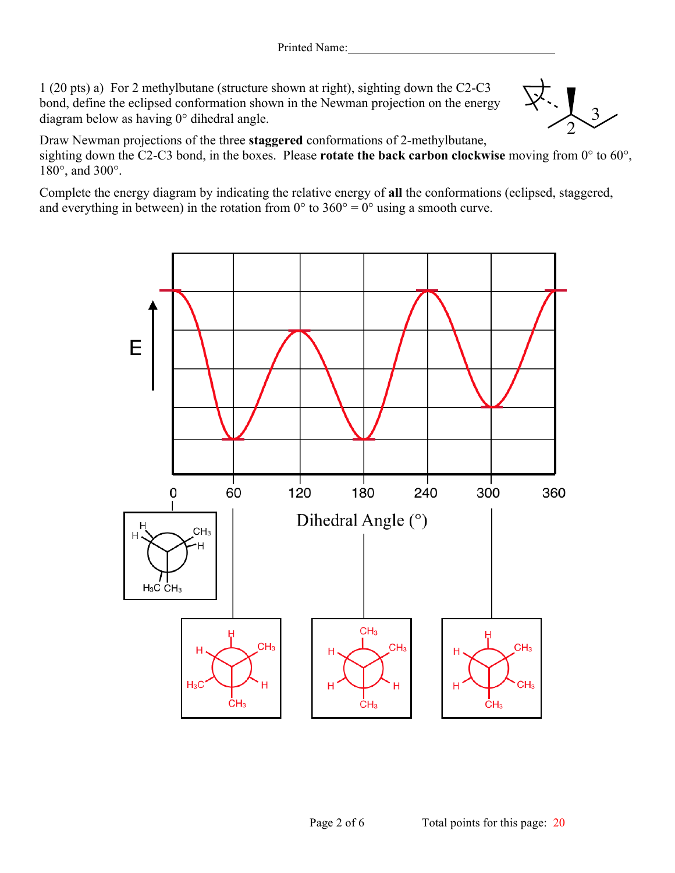1 (20 pts) a) For 2 methylbutane (structure shown at right), sighting down the C2-C3 bond, define the eclipsed conformation shown in the Newman projection on the energy diagram below as having 0° dihedral angle.

Draw Newman projections of the three **staggered** conformations of 2-methylbutane, sighting down the C2-C3 bond, in the boxes. Please **rotate the back carbon clockwise** moving from 0° to 60°, 180°, and 300°.

Complete the energy diagram by indicating the relative energy of **all** the conformations (eclipsed, staggered, and everything in between) in the rotation from  $0^{\circ}$  to  $360^{\circ} = 0^{\circ}$  using a smooth curve.



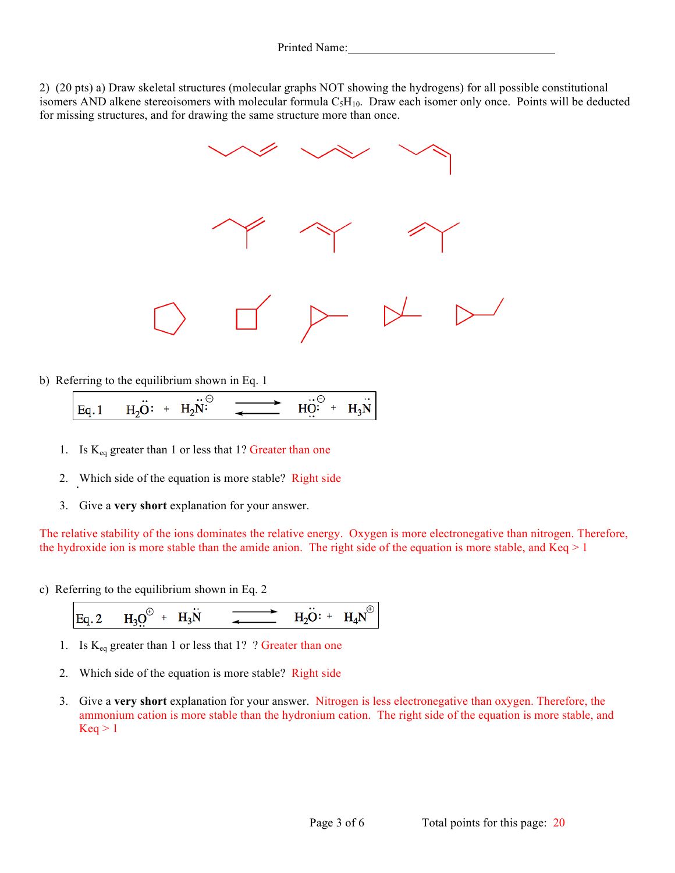2) (20 pts) a) Draw skeletal structures (molecular graphs NOT showing the hydrogens) for all possible constitutional isomers AND alkene stereoisomers with molecular formula  $C_5H_{10}$ . Draw each isomer only once. Points will be deducted for missing structures, and for drawing the same structure more than once.



b) Referring to the equilibrium shown in Eq. 1

- 1. Is  $K_{eq}$  greater than 1 or less that 1? Greater than one
- 2. Which side of the equation is more stable? Right side
- 3. Give a **very short** explanation for your answer.

The relative stability of the ions dominates the relative energy. Oxygen is more electronegative than nitrogen. Therefore, the hydroxide ion is more stable than the amide anion. The right side of the equation is more stable, and  $Keq \ge 1$ 

c) Referring to the equilibrium shown in Eq. 2

Eq. 2 
$$
H_3 Q^{\oplus} + H_3 W
$$
  $\longrightarrow$   $H_2 O: + H_4 N^{\oplus}$ 

- 1. Is  $K_{eq}$  greater than 1 or less that 1? ? Greater than one
- 2. Which side of the equation is more stable? Right side
- 3. Give a **very short** explanation for your answer. Nitrogen is less electronegative than oxygen. Therefore, the ammonium cation is more stable than the hydronium cation. The right side of the equation is more stable, and  $Keq > 1$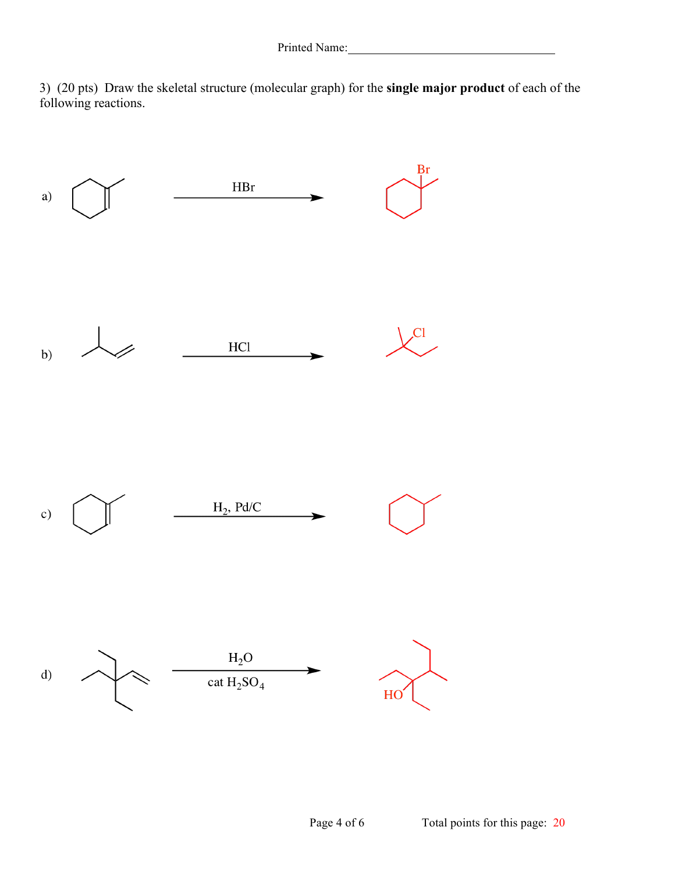3) (20 pts) Draw the skeletal structure (molecular graph) for the **single major product** of each of the following reactions.

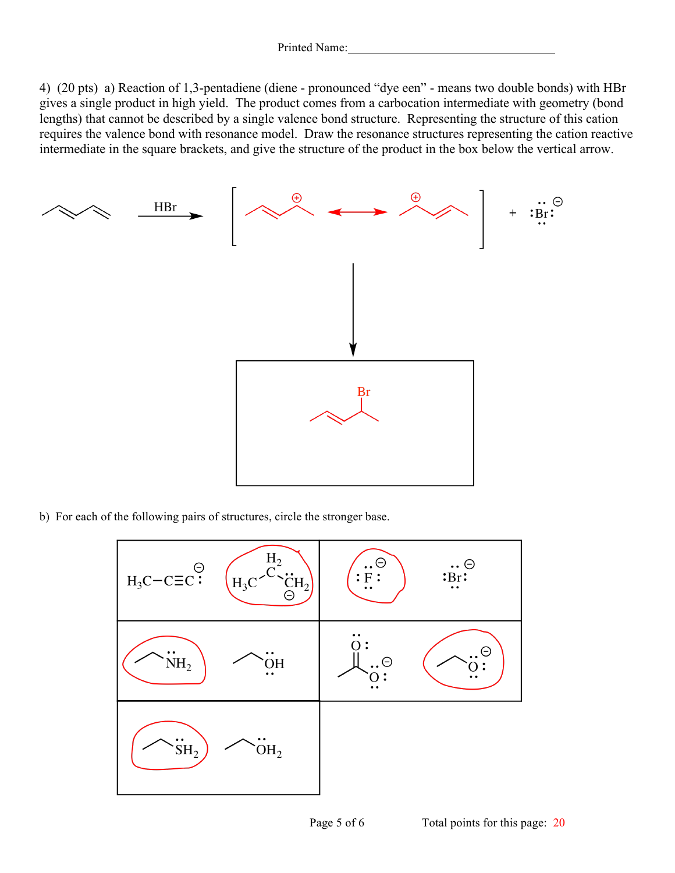4) (20 pts) a) Reaction of 1,3-pentadiene (diene - pronounced "dye een" - means two double bonds) with HBr gives a single product in high yield. The product comes from a carbocation intermediate with geometry (bond lengths) that cannot be described by a single valence bond structure. Representing the structure of this cation requires the valence bond with resonance model. Draw the resonance structures representing the cation reactive intermediate in the square brackets, and give the structure of the product in the box below the vertical arrow.



b) For each of the following pairs of structures, circle the stronger base.